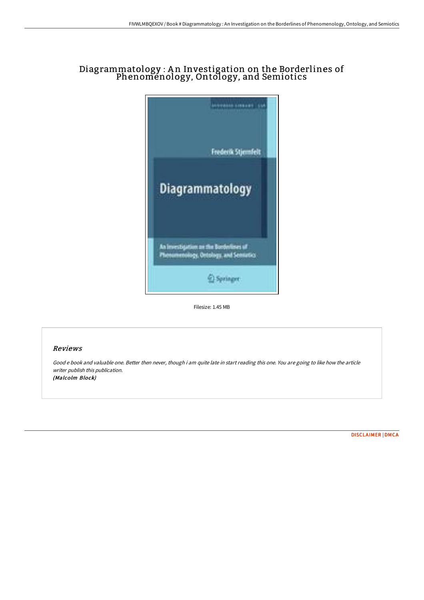# Diagrammatology : An Investigation on the Borderlines of Phenomenology, Ontology, and Semiotics



Filesize: 1.45 MB

## Reviews

Good <sup>e</sup> book and valuable one. Better then never, though i am quite late in start reading this one. You are going to like how the article writer publish this publication. (Malcolm Block)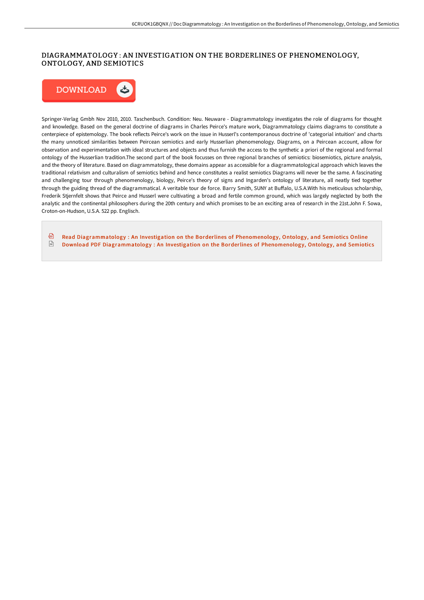### DIAGRAMMATOLOGY : AN INVESTIGATION ON THE BORDERLINES OF PHENOMENOLOGY, ONTOLOGY, AND SEMIOTICS



Springer-Verlag Gmbh Nov 2010, 2010. Taschenbuch. Condition: Neu. Neuware - Diagrammatology investigates the role of diagrams for thought and knowledge. Based on the general doctrine of diagrams in Charles Peirce's mature work, Diagrammatology claims diagrams to constitute a centerpiece of epistemology. The book reflects Peirce's work on the issue in Husserl's contemporanous doctrine of 'categorial intuition' and charts the many unnoticed similarities between Peircean semiotics and early Husserlian phenomenology. Diagrams, on a Peircean account, allow for observation and experimentation with ideal structures and objects and thus furnish the access to the synthetic a priori of the regional and formal ontology of the Husserlian tradition.The second part of the book focusses on three regional branches of semiotics: biosemiotics, picture analysis, and the theory of literature. Based on diagrammatology, these domains appear as accessible for a diagrammatological approach which leaves the traditional relativism and culturalism of semiotics behind and hence constitutes a realist semiotics Diagrams will never be the same. A fascinating and challenging tour through phenomenology, biology, Peirce's theory of signs and Ingarden's ontology of literature, all neatly tied together through the guiding thread of the diagrammatical. A veritable tour de force. Barry Smith, SUNY at Buffalo, U.S.A.With his meticulous scholarship, Frederik Stjernfelt shows that Peirce and Husserl were cultivating a broad and fertile common ground, which was largely neglected by both the analytic and the continental philosophers during the 20th century and which promises to be an exciting area of research in the 21st.John F. Sowa, Croton-on-Hudson, U.S.A. 522 pp. Englisch.

⊕ Read [Diagrammatology](http://techno-pub.tech/diagrammatology-an-investigation-on-the-borderli.html) : An Investigation on the Borderlines of Phenomenology, Ontology, and Semiotics Online  $\frac{1}{100}$ Download PDF [Diagrammatology](http://techno-pub.tech/diagrammatology-an-investigation-on-the-borderli.html) : An Investigation on the Borderlines of Phenomenology, Ontology, and Semiotics